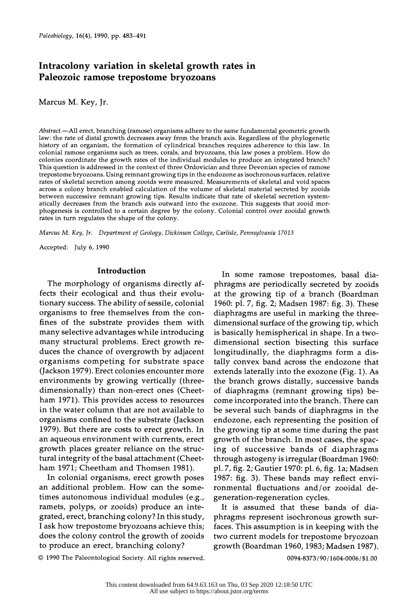# Intracolony variation in skeletal growth rates in Paleozoic ramose trepostome bryozoans

Marcus M. Key, Jr.

Abstract.-All erect, branching (ramose) organisms adhere to the same fundamental geometric growth law: the rate of distal growth decreases away from the branch axis. Regardless of the phylogenetic history of an organism, the formation of cylindrical branches requires adherence to this law. In colonial ramose organisms such as trees, corals, and bryozoans, this law poses a problem. How do colonies coordinate the growth rates of the individual modules to produce an integrated branch? This question is addressed in the context of three Ordovician and three Devonian species of ramose trepostome bryozoans. Using remnant growing tips in the endozone as isochronous surfaces, relative rates of skeletal secretion among zooids were measured. Measurements of skeletal and void spaces across a colony branch enabled calculation of the volume of skeletal material secreted by zooids between successive remnant growing tips. Results indicate that rate of skeletal secretion system atically decreases from the branch axis outward into the exozone. This suggests that zooid mor phogenesis is controlled to a certain degree by the colony. Colonial control over zooidal growth rates in turn regulates the shape of the colony.

Marcus M. Key, Jr. Department of Geology, Dickinson College, Carlisle, Pennsylvania 17013

Accepted: July 6, 1990

#### Introduction

 The morphology of organisms directly af fects their ecological and thus their evolu tionary success. The ability of sessile, colonial organisms to free themselves from the con fines of the substrate provides them with many selective advantages while introducing many structural problems. Erect growth re duces the chance of overgrowth by adjacent organisms competing for substrate space (Jackson 1979). Erect colonies encounter more environments by growing vertically (three dimensionally) than non-erect ones (Cheet ham 1971). This provides access to resources in the water column that are not available to organisms confined to the substrate (Jackson 1979). But there are costs to erect growth. In an aqueous environment with currents, erect growth places greater reliance on the struc tural integrity of the basal attachment (Cheet ham 1971; Cheetham and Thomsen 1981).

 In colonial organisms, erect growth poses an additional problem. How can the some times autonomous individual modules (e.g., ramets, polyps, or zooids) produce an inte grated, erect, branching colony? In this study, I ask how trepostome bryozoans achieve this; does the colony control the growth of zooids to produce an erect, branching colony?

 In some ramose trepostomes, basal dia phragms are periodically secreted by zooids at the growing tip of a branch (Boardman 1960: pl. 7, fig. 2; Madsen 1987: fig. 3). These diaphragms are useful in marking the three dimensional surface of the growing tip, which is basically hemispherical in shape. In a two dimensional section bisecting this surface longitudinally, the diaphragms form a dis tally convex band across the endozone that extends laterally into the exozone (Fig. 1). As the branch grows distally, successive bands of diaphragms (remnant growing tips) be come incorporated into the branch. There can be several such bands of diaphragms in the endozone, each representing the position of the growing tip at some time during the past growth of the branch. In most cases, the spac ing of successive bands of diaphragms through astogeny is irregular (Boardman 1960: pl. 7, fig. 2; Gautier 1970: pl. 6, fig. la; Madsen 1987: fig. 3). These bands may reflect envi ronmental fluctuations and/or zooidal de generation-regeneration cycles.

 It is assumed that these bands of dia phragms represent isochronous growth sur faces. This assumption is in keeping with the two current models for trepostome bryozoan growth (Boardman 1960, 1983; Madsen 1987).

C 1990 The Paleontological Society. All rights reserved.

0094-8373 /90/ 1604-0006 / \$1.00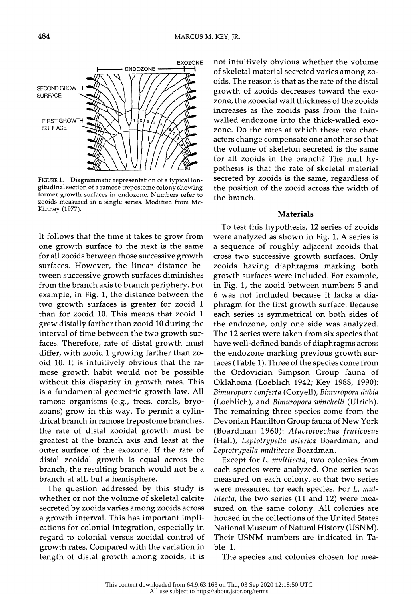FIGURE 1. Diagrammatic representation of a typical lon gitudinal section of a ramose trepostome colony showing former growth surfaces in endozone. Numbers refer to zooids measured in a single series. Modified from Mc- Kinney (1977).

 It follows that the time it takes to grow from one growth surface to the next is the same for all zooids between those successive growth surfaces. However, the linear distance be tween successive growth surfaces diminishes from the branch axis to branch periphery. For example, in Fig. 1, the distance between the two growth surfaces is greater for zooid 1 than for zooid 10. This means that zooid 1 grew distally farther than zooid 10 during the interval of time between the two growth sur faces. Therefore, rate of distal growth must differ, with zooid 1 growing farther than zo oid 10. It is intuitively obvious that the ra mose growth habit would not be possible without this disparity in growth rates. This is a fundamental geometric growth law. All ramose organisms (e.g., trees, corals, bryo zoans) grow in this way. To permit a cylin drical branch in ramose trepostome branches, the rate of distal zooidal growth must be greatest at the branch axis and least at the outer surface of the exozone. If the rate of distal zooidal growth is equal across the branch, the resulting branch would not be a branch at all, but a hemisphere.

 The question addressed by this study is whether or not the volume of skeletal calcite secreted by zooids varies among zooids across a growth interval. This has important impli cations for colonial integration, especially in regard to colonial versus zooidal control of growth rates. Compared with the variation in length of distal growth among zooids, it is

 not intuitively obvious whether the volume of skeletal material secreted varies among zo oids. The reason is that as the rate of the distal growth of zooids decreases toward the exo zone, the zooecial wall thickness of the zooids increases as the zooids pass from the thin walled endozone into the thick-walled exo zone. Do the rates at which these two char acters change compensate one another so that the volume of skeleton secreted is the same for all zooids in the branch? The null hy pothesis is that the rate of skeletal material secreted by zooids is the same, regardless of the position of the zooid across the width of the branch.

#### Materials

 To test this hypothesis, 12 series of zooids were analyzed as shown in Fig. 1. A series is a sequence of roughly adjacent zooids that cross two successive growth surfaces. Only zooids having diaphragms marking both growth surfaces were included. For example, in Fig. 1, the zooid between numbers 5 and 6 was not included because it lacks a dia phragm for the first growth surface. Because each series is symmetrical on both sides of the endozone, only one side was analyzed. The 12 series were taken from six species that have well-defined bands of diaphragms across the endozone marking previous growth sur faces (Table 1). Three of the species come from the Ordovician Simpson Group fauna of Oklahoma (Loeblich 1942; Key 1988, 1990): Bimuropora conferta (Coryell), Bimuropora dubia (Loeblich), and Bimuropora winchelli (Ulrich). The remaining three species come from the Devonian Hamilton Group fauna of New York (Boardman 1960): Atactotoechus fruticosus (Hall), Leptotrypella asterica Boardman, and Leptotrypella multitecta Boardman.

Except for L. multitecta, two colonies from each species were analyzed. One series was measured on each colony, so that two series were measured for each species. For L. mul titecta, the two series (11 and 12) were mea sured on the same colony. All colonies are housed in the collections of the United States National Museum of Natural History (USNM). Their USNM numbers are indicated in Ta ble 1.

The species and colonies chosen for mea-

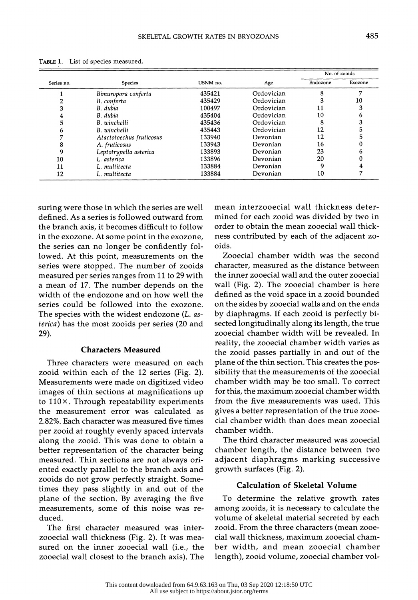| Series no. | <b>Species</b>           | USNM no. | Age        | No. of zooids |         |
|------------|--------------------------|----------|------------|---------------|---------|
|            |                          |          |            | Endozone      | Exozone |
|            | Bimuropora conferta      | 435421   | Ordovician | 8             | .,      |
|            | B. conferta              | 435429   | Ordovician |               | 10      |
|            | B. dubia                 | 100497   | Ordovician | 11            |         |
| 4          | B. dubia                 | 435404   | Ordovician | 10            |         |
| 5          | B. winchelli             | 435436   | Ordovician | 8             |         |
| n          | B. winchelli             | 435443   | Ordovician | 12            |         |
|            | Atactotoechus fruticosus | 133940   | Devonian   | 12            |         |
| 8          | A. fruticosus            | 133943   | Devonian   | 16            |         |
|            | Leptotrypella asterica   | 133893   | Devonian   | 23            |         |
| 10         | L. asterica              | 133896   | Devonian   | 20            |         |
| 11         | L. multitecta            | 133884   | Devonian   | q             |         |
| 12         | L. multitecta            | 133884   | Devonian   | 10            |         |

TABLE 1. List of species measured.

 suring were those in which the series are well defined. As a series is followed outward from the branch axis, it becomes difficult to follow in the exozone. At some point in the exozone, the series can no longer be confidently fol lowed. At this point, measurements on the series were stopped. The number of zooids measured per series ranges from 11 to 29 with a mean of 17. The number depends on the width of the endozone and on how well the series could be followed into the exozone. The species with the widest endozone (L. as terica) has the most zooids per series (20 and 29).

#### Characters Measured

 Three characters were measured on each zooid within each of the 12 series (Fig. 2). Measurements were made on digitized video images of thin sections at magnifications up to  $110\times$ . Through repeatability experiments the measurement error was calculated as 2.82%. Each character was measured five times per zooid at roughly evenly spaced intervals along the zooid. This was done to obtain a better representation of the character being measured. Thin sections are not always ori ented exactly parallel to the branch axis and zooids do not grow perfectly straight. Some times they pass slightly in and out of the plane of the section. By averaging the five measurements, some of this noise was re duced.

 The first character measured was inter zooecial wall thickness (Fig. 2). It was mea sured on the inner zooecial wall (i.e., the zooecial wall closest to the branch axis). The  mean interzooecial wall thickness deter mined for each zooid was divided by two in order to obtain the mean zooecial wall thick ness contributed by each of the adjacent zo oids.

 Zooecial chamber width was the second character, measured as the distance between the inner zooecial wall and the outer zooecial wall (Fig. 2). The zooecial chamber is here defined as the void space in a zooid bounded on the sides by zooecial walls and on the ends by diaphragms. If each zooid is perfectly bi sected longitudinally along its length, the true zooecial chamber width will be revealed. In reality, the zooecial chamber width varies as the zooid passes partially in and out of the plane of the thin section. This creates the pos sibility that the measurements of the zooecial chamber width may be too small. To correct for this, the maximum zooecial chamber width from the five measurements was used. This gives a better representation of the true zooe cial chamber width than does mean zooecial chamber width.

 The third character measured was zooecial chamber length, the distance between two adjacent diaphragms marking successive growth surfaces (Fig. 2).

# Calculation of Skeletal Volume

 To determine the relative growth rates among zooids, it is necessary to calculate the volume of skeletal material secreted by each zooid. From the three characters (mean zooe cial wall thickness, maximum zooecial cham ber width, and mean zooecial chamber length), zooid volume, zooecial chamber vol-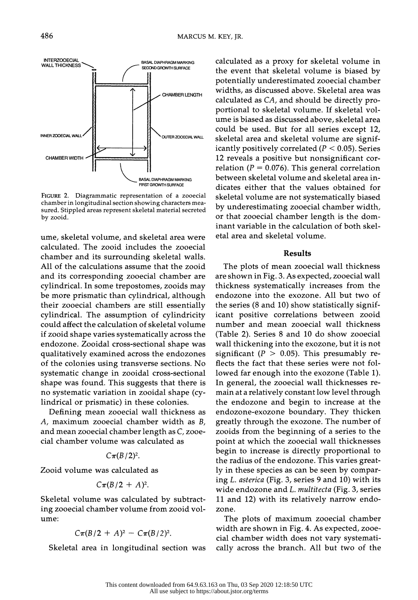INNER ZOOECIAL WALL  $\left\{\begin{array}{c} \begin{array}{c} \end{array} \end{array}\right\}$   $\begin{array}{c} \begin{array}{c} \end{array}$   $\begin{array}{c} \end{array}$   $\begin{array}{c} \end{array}$   $\begin{array}{c} \end{array}$   $\begin{array}{c} \end{array}$   $\begin{array}{c} \end{array}$   $\begin{array}{c} \end{array}$   $\begin{array}{c} \end{array}$   $\end{array}$   $\begin{array}{c} \end{array}$   $\begin{array}{c} \end{array}$   $\begin$  CHAMBER WIDTH BASAL DIAPHRAGM MARKING RRST GROWTH SURFACE FIGURE 2. Diagrammatic representation of a zooecial

 chamber in longitudinal section showing characters mea sured. Stippled areas represent skeletal material secreted by zooid.

 ume, skeletal volume, and skeletal area were calculated. The zooid includes the zooecial chamber and its surrounding skeletal walls. All of the calculations assume that the zooid and its corresponding zooecial chamber are cylindrical. In some trepostomes, zooids may be more prismatic than cylindrical, although their zooecial chambers are still essentially cylindrical. The assumption of cylindricity could affect the calculation of skeletal volume if zooid shape varies systematically across the endozone. Zooidal cross-sectional shape was qualitatively examined across the endozones of the colonies using transverse sections. No systematic change in zooidal cross-sectional shape was found. This suggests that there is no systematic variation in zooidal shape (cy lindrical or prismatic) in these colonies.

 Defining mean zooecial wall thickness as A, maximum zooecial chamber width as B, and mean zooecial chamber length as C, zooe cial chamber volume was calculated as

### $C \pi (B/2)^2$ .

Zooid volume was calculated as

$$
C\pi(B/2+A)^2.
$$

 Skeletal volume was calculated by subtract ing zooecial chamber volume from zooid vol ume:

$$
C\pi(B/2 + A)^2 - C\pi(B/2)^2
$$
.

Skeletal area in longitudinal section was

 calculated as a proxy for skeletal volume in the event that skeletal volume is biased by potentially underestimated zooecial chamber widths, as discussed above. Skeletal area was calculated as CA, and should be directly pro portional to skeletal volume. If skeletal vol ume is biased as discussed above, skeletal area could be used. But for all series except 12, skeletal area and skeletal volume are signif icantly positively correlated ( $P < 0.05$ ). Series 12 reveals a positive but nonsignificant cor relation ( $P = 0.076$ ). This general correlation between skeletal volume and skeletal area in dicates either that the values obtained for skeletal volume are not systematically biased by underestimating zooecial chamber width, or that zooecial chamber length is the dom inant variable in the calculation of both skel etal area and skeletal volume.

## Results

 The plots of mean zooecial wall thickness are shown in Fig. 3. As expected, zooecial wall thickness systematically increases from the endozone into the exozone. All but two of the series (8 and 10) show statistically signif icant positive correlations between zooid number and mean zooecial wall thickness (Table 2). Series 8 and 10 do show zooecial wall thickening into the exozone, but it is not significant ( $P > 0.05$ ). This presumably re flects the fact that these series were not fol lowed far enough into the exozone (Table 1). In general, the zooecial wall thicknesses re main at a relatively constant low level through the endozone and begin to increase at the endozone-exozone boundary. They thicken greatly through the exozone. The number of zooids from the beginning of a series to the point at which the zooecial wall thicknesses begin to increase is directly proportional to the radius of the endozone. This varies great ly in these species as can be seen by compar ing L. asterica (Fig. 3, series 9 and 10) with its wide endozone and L. *multitecta* (Fig. 3, series 11 and 12) with its relatively narrow endo zone.

 The plots of maximum zooecial chamber width are shown in Fig. 4. As expected, zooe cial chamber width does not vary systemati cally across the branch. All but two of the

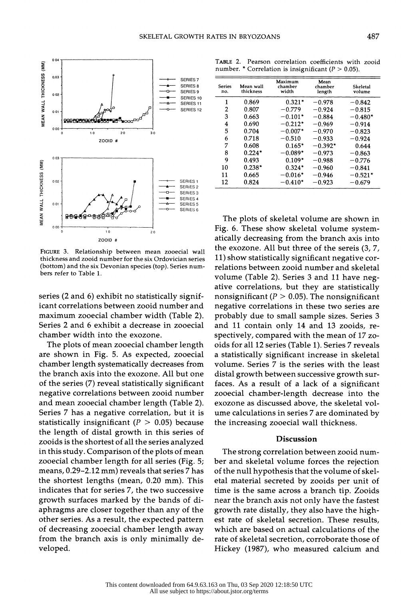

 FIGURE 3. Relationship between mean zooecial wall thickness and zooid number for the six Ordovician series (bottom) and the six Devonian species (top). Series num bers refer to Table 1.

 series (2 and 6) exhibit no statistically signif icant correlations between zooid number and maximum zooecial chamber width (Table 2). Series 2 and 6 exhibit a decrease in zooecial chamber width into the exozone.

 The plots of mean zooecial chamber length are shown in Fig. 5. As expected, zooecial chamber length systematically decreases from the branch axis into the exozone. All but one of the series (7) reveal statistically significant negative correlations between zooid number and mean zooecial chamber length (Table 2). Series 7 has a negative correlation, but it is statistically insignificant ( $P > 0.05$ ) because the length of distal growth in this series of zooids is the shortest of all the series analyzed in this study. Comparison of the plots of mean zooecial chamber length for all series (Fig. 5; means, 0.29-2.12 mm) reveals that series 7 has the shortest lengths (mean, 0.20 mm). This indicates that for series 7, the two successive growth surfaces marked by the bands of di aphragms are closer together than any of the other series. As a result, the expected pattern of decreasing zooecial chamber length away from the branch axis is only minimally de veloped.

 TABLE 2. Pearson correlation coefficients with zooid number. \* Correlation is insignificant ( $P > 0.05$ ).

| <b>Series</b><br>no. | Mean wall<br>thickness | Maximum<br>chamber<br>width | Mean<br>chamber<br>length | Skeletal<br>volume |
|----------------------|------------------------|-----------------------------|---------------------------|--------------------|
| 1                    | 0.869                  | $0.321*$                    | $-0.978$                  | $-0.842$           |
| 2                    | 0.807                  | $-0.779$                    | $-0.924$                  | $-0.815$           |
| 3                    | 0.663                  | $-0.101*$                   | $-0.884$                  | $-0.480*$          |
| 4                    | 0.690                  | $-0.212*$                   | $-0.969$                  | $-0.914$           |
| 5                    | 0.704                  | $-0.007*$                   | $-0.970$                  | $-0.823$           |
| 6                    | 0.718                  | $-0.510$                    | $-0.933$                  | $-0.924$           |
| 7                    | 0.608                  | $0.165*$                    | $-0.392*$                 | 0.644              |
| 8                    | $0.224*$               | $-0.089*$                   | $-0.973$                  | $-0.863$           |
| 9                    | 0.493                  | $0.109*$                    | $-0.988$                  | $-0.776$           |
| 10                   | $0.238*$               | $0.324*$                    | $-0.960$                  | $-0.841$           |
| 11                   | 0.665                  | $-0.016*$                   | $-0.946$                  | $-0.521*$          |
| 12                   | 0.824                  | $-0.410*$                   | $-0.923$                  | $-0.679$           |

 The plots of skeletal volume are shown in Fig. 6. These show skeletal volume system atically decreasing from the branch axis into the exozone. All but three of the sereis (3, 7, 11) show statistically significant negative cor relations between zooid number and skeletal volume (Table 2). Series 3 and 11 have neg ative correlations, but they are statistically nonsignificant ( $P > 0.05$ ). The nonsignificant negative correlations in these two series are probably due to small sample sizes. Series 3 and 11 contain only 14 and 13 zooids, re spectively, compared with the mean of 17 zo oids for all 12 series (Table 1). Series 7 reveals a statistically significant increase in skeletal volume. Series 7 is the series with the least distal growth between successive growth sur faces. As a result of a lack of a significant zooecial chamber-length decrease into the exozone as discussed above, the skeletal vol ume calculations in series 7 are dominated by the increasing zooecial wall thickness.

## Discussion

 The strong correlation between zooid num ber and skeletal volume forces the rejection of the null hypothesis that the volume of skel etal material secreted by zooids per unit of time is the same across a branch tip. Zooids near the branch axis not only have the fastest growth rate distally, they also have the high est rate of skeletal secretion. These results, which are based on actual calculations of the rate of skeletal secretion, corroborate those of Hickey (1987), who measured calcium and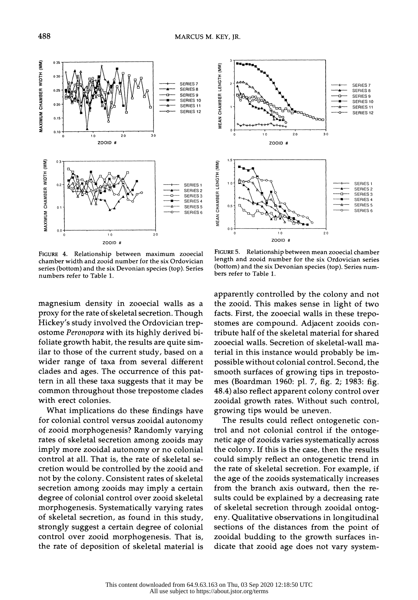

 FIGURE 4. Relationship between maximum zooecial chamber width and zooid number for the six Ordovician series (bottom) and the six Devonian species (top). Series numbers refer to Table 1.

 magnesium density in zooecial walls as a proxy for the rate of skeletal secretion. Though Hickey's study involved the Ordovician trep ostome Peronopora with its highly derived bi foliate growth habit, the results are quite sim ilar to those of the current study, based on a wider range of taxa from several different clades and ages. The occurrence of this pat tern in all these taxa suggests that it may be common throughout those trepostome clades with erect colonies.

 What implications do these findings have for colonial control versus zooidal autonomy of zooid morphogenesis? Randomly varying rates of skeletal secretion among zooids may imply more zooidal autonomy or no colonial control at all. That is, the rate of skeletal se cretion would be controlled by the zooid and not by the colony. Consistent rates of skeletal secretion among zooids may imply a certain degree of colonial control over zooid skeletal morphogenesis. Systematically varying rates of skeletal secretion, as found in this study, strongly suggest a certain degree of colonial control over zooid morphogenesis. That is, the rate of deposition of skeletal material is



 FIGURE 5. Relationship between mean zooecial chamber length and zooid number for the six Ordovician series (bottom) and the six Devonian species (top). Series num bers refer to Table 1.

 apparently controlled by the colony and not the zooid. This makes sense in light of two facts. First, the zooecial walls in these trepo stomes are compound. Adjacent zooids con tribute half of the skeletal material for shared zooecial walls. Secretion of skeletal-wall ma terial in this instance would probably be im possible without colonial control. Second, the smooth surfaces of growing tips in treposto mes (Boardman 1960: pl. 7, fig. 2; 1983: fig. 48.4) also reflect apparent colony control over zooidal growth rates. Without such control, growing tips would be uneven.

 The results could reflect ontogenetic con trol and not colonial control if the ontoge netic age of zooids varies systematically across the colony. If this is the case, then the results could simply reflect an ontogenetic trend in the rate of skeletal secretion. For example, if the age of the zooids systematically increases from the branch axis outward, then the re sults could be explained by a decreasing rate of skeletal secretion through zooidal ontog eny. Qualitative observations in longitudinal sections of the distances from the point of zooidal budding to the growth surfaces in dicate that zooid age does not vary system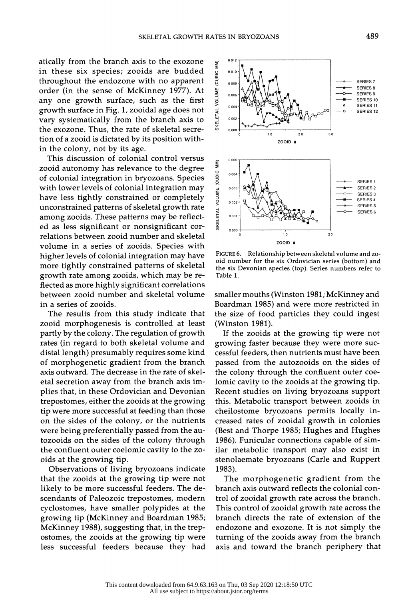atically from the branch axis to the exozone in these six species; zooids are budded throughout the endozone with no apparent order (in the sense of McKinney 1977). At any one growth surface, such as the first growth surface in Fig. 1, zooidal age does not vary systematically from the branch axis to the exozone. Thus, the rate of skeletal secre tion of a zooid is dictated by its position with in the colony, not by its age.

 This discussion of colonial control versus zooid autonomy has relevance to the degree of colonial integration in bryozoans. Species with lower levels of colonial integration may have less tightly constrained or completely unconstrained patterns of skeletal growth rate among zooids. These patterns may be reflect ed as less significant or nonsignificant cor relations between zooid number and skeletal volume in a series of zooids. Species with higher levels of colonial integration may have more tightly constrained patterns of skeletal growth rate among zooids, which may be re flected as more highly significant correlations between zooid number and skeletal volume in a series of zooids.

 The results from this study indicate that zooid morphogenesis is controlled at least partly by the colony. The regulation of growth rates (in regard to both skeletal volume and distal length) presumably requires some kind of morphogenetic gradient from the branch axis outward. The decrease in the rate of skel etal secretion away from the branch axis im plies that, in these Ordovician and Devonian trepostomes, either the zooids at the growing tip were more successful at feeding than those on the sides of the colony, or the nutrients were being preferentially passed from the au tozooids on the sides of the colony through the confluent outer coelomic cavity to the zo oids at the growing tip.

 Observations of living bryozoans indicate that the zooids at the growing tip were not likely to be more successful feeders. The de scendants of Paleozoic trepostomes, modern cyclostomes, have smaller polypides at the growing tip (McKinney and Boardman 1985; McKinney 1988), suggesting that, in the trep ostomes, the zooids at the growing tip were less successful feeders because they had



FIGURE 6. Relationship between skeletal volume and zooid number for the six Ordovician series (bottom) and the six Devonian species (top). Series numbers refer to Table 1.

smaller mouths (Winston 1981; McKinney and Boardman 1985) and were more restricted in the size of food particles they could ingest (Winston 1981).

 If the zooids at the growing tip were not growing faster because they were more suc cessful feeders, then nutrients must have been passed from the autozooids on the sides of the colony through the confluent outer coe lomic cavity to the zooids at the growing tip. Recent studies on living bryozoans support this. Metabolic transport between zooids in cheilostome bryozoans permits locally in creased rates of zooidal growth in colonies (Best and Thorpe 1985; Hughes and Hughes 1986). Funicular connections capable of sim ilar metabolic transport may also exist in stenolaemate bryozoans (Carle and Ruppert 1983).

 The morphogenetic gradient from the branch axis outward reflects the colonial con trol of zooidal growth rate across the branch. This control of zooidal growth rate across the branch directs the rate of extension of the endozone and exozone. It is not simply the turning of the zooids away from the branch axis and toward the branch periphery that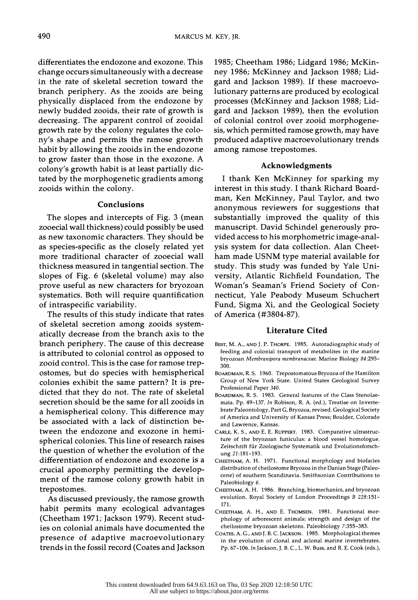differentiates the endozone and exozone. This change occurs simultaneously with a decrease in the rate of skeletal secretion toward the branch periphery. As the zooids are being physically displaced from the endozone by newly budded zooids, their rate of growth is decreasing. The apparent control of zooidal growth rate by the colony regulates the colo ny's shape and permits the ramose growth habit by allowing the zooids in the endozone to grow faster than those in the exozone. A colony's growth habit is at least partially dic tated by the morphogenetic gradients among zooids within the colony.

### Conclusions

 The slopes and intercepts of Fig. 3 (mean zooecial wall thickness) could possibly be used as new taxonomic characters. They should be as species-specific as the closely related yet more traditional character of zooecial wall thickness measured in tangential section. The slopes of Fig. 6 (skeletal volume) may also prove useful as new characters for bryozoan systematics. Both will require quantification of intraspecific variability.

 The results of this study indicate that rates of skeletal secretion among zooids system atically decrease from the branch axis to the branch periphery. The cause of this decrease is attributed to colonial control as opposed to zooid control. This is the case for ramose trep ostomes, but do species with hemispherical colonies exhibit the same pattern? It is pre dicted that they do not. The rate of skeletal secretion should be the same for all zooids in a hemispherical colony. This difference may be associated with a lack of distinction be tween the endozone and exozone in hemi spherical colonies. This line of research raises the question of whether the evolution of the differentiation of endozone and exozone is a crucial apomorphy permitting the develop ment of the ramose colony growth habit in trepostomes.

 As discussed previously, the ramose growth habit permits many ecological advantages (Cheetham 1971; Jackson 1979). Recent stud ies on colonial animals have documented the presence of adaptive macroevolutionary trends in the fossil record (Coates and Jackson  1985; Cheetham 1986; Lidgard 1986; McKin ney 1986; McKinney and Jackson 1988; Lid gard and Jackson 1989). If these macroevo lutionary patterns are produced by ecological processes (McKinney and Jackson 1988; Lid gard and Jackson 1989), then the evolution of colonial control over zooid morphogene sis, which permitted ramose growth, may have produced adaptive macroevolutionary trends among ramose trepostomes.

## Acknowledgments

 I thank Ken McKinney for sparking my interest in this study. I thank Richard Board man, Ken McKinney, Paul Taylor, and two anonymous reviewers for suggestions that substantially improved the quality of this manuscript. David Schindel generously pro vided access to his morphometric image-anal ysis system for data collection. Alan Cheet ham made USNM type material available for study. This study was funded by Yale Uni versity, Atlantic Richfield Foundation, The Woman's Seaman's Friend Society of Con necticut, Yale Peabody Museum Schuchert Fund, Sigma Xi, and the Geological Society of America (#3804-87).

# Literature Cited

- BEST, M. A., AND J. P. THORPE. 1985. Autoradiographic study of feeding and colonial transport of metabolites in the marine bryozoan Membranipora membranaceae. Marine Biology 84:295- 300.
- BOARDMAN, R. S. 1960. Trepostomatous Bryozoa of the Hamilton Group of New York State. United States Geological Survey Professional Paper 340.
- BOARDMAN, R. S. 1983. General features of the Class Stenolae mata. Pp. 49-137. In Robison, R. A. (ed.), Treatise on Inverte brate Paleontology, Part G, Bryozoa, revised. Geological Society of America and University of Kansas Press; Boulder, Colorado and Lawrence, Kansas.
- CARLE, K. S., AND E. E. RUPPERT. 1983. Comparative ultrastruc ture of the bryozoan funiculus: a blood vessel homologue. Zeitschrift fur Zoologische Systematik und Evolutionsforsch ung 21:181-193.
- CHEETHAM, A. H. 1971. Functional morphology and biofacies distribution of cheilostome Bryozoa in the Danian Stage (Paleo cene) of southern Scandinavia. Smithsonian Contributions to Paleobiology 6.
- CHEETHAM, A. H. 1986. Branching, biomechanics, and bryozoan evolution. Royal Society of London Proceedings B 228:151- 171.
- CHEETHAM, A. H., AND E. THOMSEN. 1981. Functional mor phology of arborescent animals: strength and design of the cheilostome bryozoan skeletons. Paleobiology 7:355-383.
- COATES, A. G., AND J. B. C. JACKSON. 1985. Morphological themes in the evolution of clonal and aclonal marine invertebrates. Pp. 67-106. In Jackson, J. B. C., L. W. Buss, and R. E. Cook (eds.),